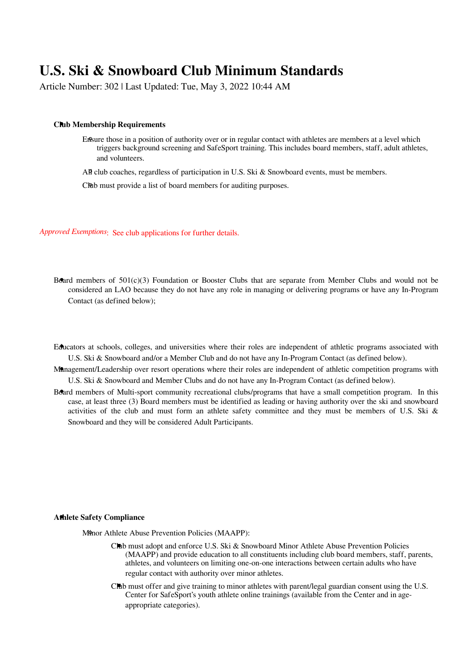# **U.S. Ski & Snowboard Club Minimum Standards**

Article Number: 302 | Last Updated: Tue, May 3, 2022 10:44 AM

#### **Club Membership Requirements**

Ensure those in a position of authority over or in regular contact with athletes are members at a level which triggers background screening and SafeSport training. This includes board members, staff, adult athletes, and volunteers.

All club coaches, regardless of participation in U.S. Ski & Snowboard events, must be members.

CRub must provide a list of board members for auditing purposes.

*Approved Exemptions*: See club applications for further details.

- Board members of 501(c)(3) Foundation or Booster Clubs that are separate from Member Clubs and would not be considered an LAO because they do not have any role in managing or delivering programs or have any In-Program Contact (as defined below);
- Educators at schools, colleges, and universities where their roles are independent of athletic programs associated with U.S. Ski & Snowboard and/or a Member Club and do not have any In-Program Contact (as defined below).
- Management/Leadership over resort operations where their roles are independent of athletic competition programs with U.S. Ski & Snowboard and Member Clubs and do not have any In-Program Contact (as defined below).
- Board members of Multi-sport community recreational clubs/programs that have a small competition program. In this case, at least three (3) Board members must be identified as leading or having authority over the ski and snowboard activities of the club and must form an athlete safety committee and they must be members of U.S. Ski & Snowboard and they will be considered Adult Participants.

### **Athlete Safety Compliance**

M<sup>9</sup>nor Athlete Abuse Prevention Policies (MAAPP):

- Club must adopt and enforce U.S. Ski & Snowboard Minor Athlete Abuse Prevention Policies (MAAPP) and provide education to all constituents including club board members, staff, parents, athletes, and volunteers on limiting one-on-one interactions between certain adults who have regular contact with authority over minor athletes.
- Club must offer and give training to minor athletes with parent/legal guardian consent using the U.S. Center for SafeSport's youth athlete online trainings (available from the Center and in ageappropriate categories).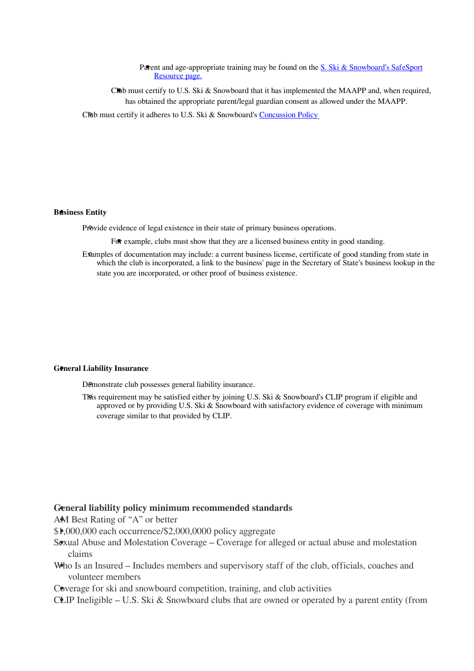Parent and age-appropriate training may be found on the [S. Ski & Snowboard's SafeSport](https://www.usskiandsnowboard.org/safesport-athlete-safety/safesport-resources) [Resource page.](https://www.usskiandsnowboard.org/safesport-athlete-safety/safesport-resources)

Club must certify to U.S. Ski  $\&$  Snowboard that it has implemented the MAAPP and, when required, has obtained the appropriate parent/legal guardian consent as allowed under the MAAPP.

Club must certify it adheres to U.S. Ski & Snowboard's [Concussion Policy](https://www.usskiandsnowboard.org/governance/policies/concussion-policy).

#### **Business Entity**

Provide evidence of legal existence in their state of primary business operations.

For example, clubs must show that they are a licensed business entity in good standing.

Examples of documentation may include: a current business license, certificate of good standing from state in which the club is incorporated, a link to the business' page in the Secretary of State's business lookup in the state you are incorporated, or other proof of business existence.

#### **General Liability Insurance**

Demonstrate club possesses general liability insurance.

This requirement may be satisfied either by joining U.S. Ski & Snowboard's CLIP program if eligible and approved or by providing U.S. Ski  $\&$  Snowboard with satisfactory evidence of coverage with minimum coverage similar to that provided by CLIP.

## **General liability policy minimum recommended standards**

AM Best Rating of "A" or better

- \$1,000,000 each occurrence/\$2,000,0000 policy aggregate
- Sexual Abuse and Molestation Coverage Coverage for alleged or actual abuse and molestation claims
- Who Is an Insured Includes members and supervisory staff of the club, officials, coaches and volunteer members

Coverage for ski and snowboard competition, training, and club activities

CLIP Ineligible – U.S. Ski & Snowboard clubs that are owned or operated by a parent entity (from